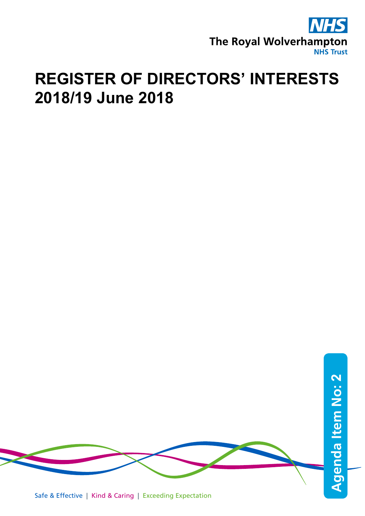

## **REGISTER OF DIRECTORS' INTERESTS 2018/19 June 2018**



Safe & Effective | Kind & Caring | Exceeding Expectation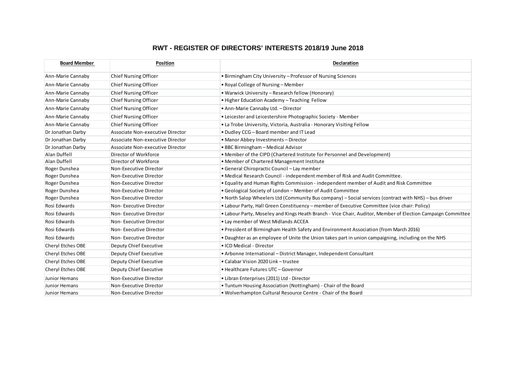## **RWT - REGISTER OF DIRECTORS' INTERESTS 2018/19 June 2018**

| <b>Board Member</b>      | <b>Position</b>                  | <b>Declaration</b>                                                                                          |
|--------------------------|----------------------------------|-------------------------------------------------------------------------------------------------------------|
| Ann-Marie Cannaby        | <b>Chief Nursing Officer</b>     | • Birmingham City University - Professor of Nursing Sciences                                                |
| Ann-Marie Cannaby        | <b>Chief Nursing Officer</b>     | • Royal College of Nursing – Member                                                                         |
| Ann-Marie Cannaby        | Chief Nursing Officer            | • Warwick University - Research fellow (Honorary)                                                           |
| Ann-Marie Cannaby        | Chief Nursing Officer            | • Higher Education Academy - Teaching Fellow                                                                |
| Ann-Marie Cannaby        | <b>Chief Nursing Officer</b>     | • Ann-Marie Cannaby Ltd. - Director                                                                         |
| Ann-Marie Cannaby        | <b>Chief Nursing Officer</b>     | • Leicester and Leicestershire Photographic Society - Member                                                |
| Ann-Marie Cannaby        | <b>Chief Nursing Officer</b>     | • La Trobe University, Victoria, Australia - Honorary Visiting Fellow                                       |
| Dr Jonathan Darby        | Associate Non-executive Director | . Dudley CCG - Board member and IT Lead                                                                     |
| Dr Jonathan Darby        | Associate Non-executive Director | • Manor Abbey Investments - Director                                                                        |
| Dr Jonathan Darby        | Associate Non-executive Director | • BBC Birmingham - Medical Advisor                                                                          |
| Alan Duffell             | Director of Workforce            | • Member of the CIPD (Chartered Institute for Personnel and Development)                                    |
| Alan Duffell             | Director of Workforce            | • Member of Chartered Management Institute                                                                  |
| Roger Dunshea            | Non-Executive Director           | · General Chiropractic Council - Lay member                                                                 |
| Roger Dunshea            | Non-Executive Director           | . Medical Research Council - independent member of Risk and Audit Committee.                                |
| Roger Dunshea            | Non-Executive Director           | . Equality and Human Rights Commission - independent member of Audit and Risk Committee                     |
| Roger Dunshea            | Non-Executive Director           | • Geological Society of London - Member of Audit Committee                                                  |
| Roger Dunshea            | Non-Executive Director           | . North Salop Wheelers Ltd (Community Bus company) - Social services (contract with NHS) - bus driver       |
| Rosi Edwards             | Non-Executive Director           | . Labour Party, Hall Green Constituency - member of Executive Committee (vice chair: Policy)                |
| Rosi Edwards             | Non-Executive Director           | . Labour Party, Moseley and Kings Heath Branch - Vice Chair, Auditor, Member of Election Campaign Committee |
| Rosi Edwards             | Non-Executive Director           | • Lay member of West Midlands ACCEA                                                                         |
| Rosi Edwards             | Non-Executive Director           | . President of Birmingham Health Safety and Environment Association (from March 2016)                       |
| Rosi Edwards             | Non-Executive Director           | • Daughter as an employee of Unite the Union takes part in union campaigning, including on the NHS          |
| Cheryl Etches OBE        | Deputy Chief Executive           | • ICD Medical - Director                                                                                    |
| Cheryl Etches OBE        | Deputy Chief Executive           | • Arbonne International - District Manager, Independent Consultant                                          |
| Cheryl Etches OBE        | Deputy Chief Executive           | • Calabar Vision 2020 Link - trustee                                                                        |
| <b>Cheryl Etches OBE</b> | Deputy Chief Executive           | • Healthcare Futures UTC - Governor                                                                         |
| Junior Hemans            | Non-Executive Director           | • Libran Enterprises (2011) Ltd - Director                                                                  |
| Junior Hemans            | Non-Executive Director           | • Tuntum Housing Association (Nottingham) - Chair of the Board                                              |
| Junior Hemans            | Non-Executive Director           | . Wolverhampton Cultural Resource Centre - Chair of the Board                                               |